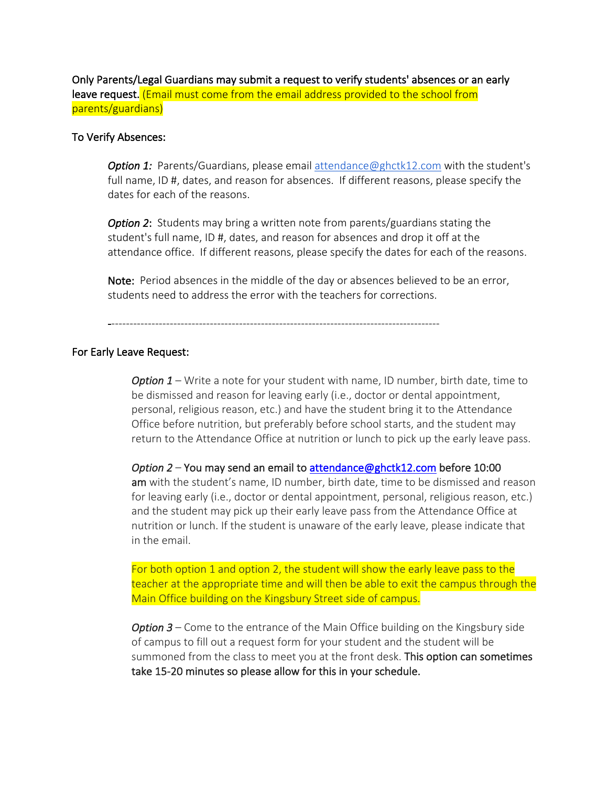Only Parents/Legal Guardians may submit a request to verify students' absences or an early leave request. (Email must come from the email address provided to the school from parents/guardians)

## To Verify Absences:

*Option 1:* Parents/Guardians, please email attendance@ghctk12.com with the student's full name, ID #, dates, and reason for absences. If different reasons, please specify the dates for each of the reasons.

*Option 2*: Students may bring a written note from parents/guardians stating the student's full name, ID #, dates, and reason for absences and drop it off at the attendance office. If different reasons, please specify the dates for each of the reasons.

Note: Period absences in the middle of the day or absences believed to be an error, students need to address the error with the teachers for corrections.

-------------------------------------------------------------------------------------------

## For Early Leave Request:

*Option 1* – Write a note for your student with name, ID number, birth date, time to be dismissed and reason for leaving early (i.e., doctor or dental appointment, personal, religious reason, etc.) and have the student bring it to the Attendance Office before nutrition, but preferably before school starts, and the student may return to the Attendance Office at nutrition or lunch to pick up the early leave pass.

*Option 2* – You may send an email to attendance@ghctk12.com before 10:00 am with the student's name, ID number, birth date, time to be dismissed and reason for leaving early (i.e., doctor or dental appointment, personal, religious reason, etc.) and the student may pick up their early leave pass from the Attendance Office at nutrition or lunch. If the student is unaware of the early leave, please indicate that in the email.

For both option 1 and option 2, the student will show the early leave pass to the teacher at the appropriate time and will then be able to exit the campus through the Main Office building on the Kingsbury Street side of campus.

*Option 3* – Come to the entrance of the Main Office building on the Kingsbury side of campus to fill out a request form for your student and the student will be summoned from the class to meet you at the front desk. This option can sometimes take 15-20 minutes so please allow for this in your schedule.